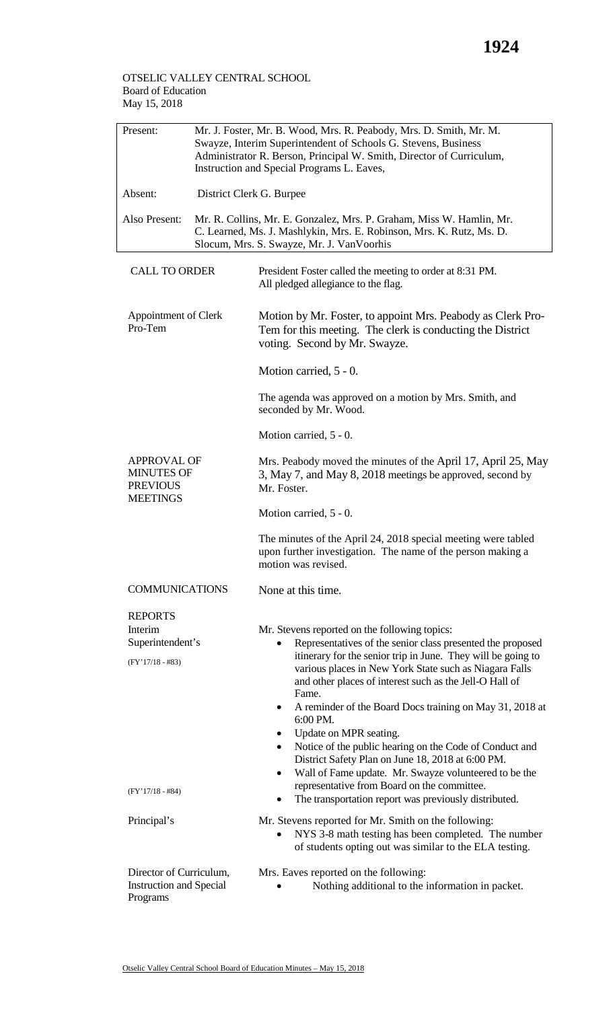## OTSELIC VALLEY CENTRAL SCHOOL Board of Education May 15, 2018

| Present:                                                                      | Mr. J. Foster, Mr. B. Wood, Mrs. R. Peabody, Mrs. D. Smith, Mr. M.<br>Swayze, Interim Superintendent of Schools G. Stevens, Business<br>Administrator R. Berson, Principal W. Smith, Director of Curriculum,<br>Instruction and Special Programs L. Eaves, |                                                                                                                                                                                                                                                                                                                                                                    |
|-------------------------------------------------------------------------------|------------------------------------------------------------------------------------------------------------------------------------------------------------------------------------------------------------------------------------------------------------|--------------------------------------------------------------------------------------------------------------------------------------------------------------------------------------------------------------------------------------------------------------------------------------------------------------------------------------------------------------------|
| Absent:                                                                       | District Clerk G. Burpee                                                                                                                                                                                                                                   |                                                                                                                                                                                                                                                                                                                                                                    |
| Also Present:                                                                 | Mr. R. Collins, Mr. E. Gonzalez, Mrs. P. Graham, Miss W. Hamlin, Mr.<br>C. Learned, Ms. J. Mashlykin, Mrs. E. Robinson, Mrs. K. Rutz, Ms. D.<br>Slocum, Mrs. S. Swayze, Mr. J. VanVoorhis                                                                  |                                                                                                                                                                                                                                                                                                                                                                    |
| <b>CALL TO ORDER</b>                                                          |                                                                                                                                                                                                                                                            | President Foster called the meeting to order at 8:31 PM.<br>All pledged allegiance to the flag.                                                                                                                                                                                                                                                                    |
| Appointment of Clerk<br>Pro-Tem                                               |                                                                                                                                                                                                                                                            | Motion by Mr. Foster, to appoint Mrs. Peabody as Clerk Pro-<br>Tem for this meeting. The clerk is conducting the District<br>voting. Second by Mr. Swayze.                                                                                                                                                                                                         |
|                                                                               |                                                                                                                                                                                                                                                            | Motion carried, 5 - 0.                                                                                                                                                                                                                                                                                                                                             |
|                                                                               |                                                                                                                                                                                                                                                            | The agenda was approved on a motion by Mrs. Smith, and<br>seconded by Mr. Wood.                                                                                                                                                                                                                                                                                    |
|                                                                               |                                                                                                                                                                                                                                                            | Motion carried, 5 - 0.                                                                                                                                                                                                                                                                                                                                             |
| <b>APPROVAL OF</b><br><b>MINUTES OF</b><br><b>PREVIOUS</b><br><b>MEETINGS</b> |                                                                                                                                                                                                                                                            | Mrs. Peabody moved the minutes of the April 17, April 25, May<br>3, May 7, and May 8, 2018 meetings be approved, second by<br>Mr. Foster.                                                                                                                                                                                                                          |
|                                                                               |                                                                                                                                                                                                                                                            | Motion carried, 5 - 0.                                                                                                                                                                                                                                                                                                                                             |
|                                                                               |                                                                                                                                                                                                                                                            | The minutes of the April 24, 2018 special meeting were tabled<br>upon further investigation. The name of the person making a<br>motion was revised.                                                                                                                                                                                                                |
| <b>COMMUNICATIONS</b>                                                         |                                                                                                                                                                                                                                                            | None at this time.                                                                                                                                                                                                                                                                                                                                                 |
| <b>REPORTS</b><br>Interim<br>Superintendent's<br>$(FY'17/18 - #83)$           |                                                                                                                                                                                                                                                            | Mr. Stevens reported on the following topics:<br>Representatives of the senior class presented the proposed<br>itinerary for the senior trip in June. They will be going to<br>various places in New York State such as Niagara Falls<br>and other places of interest such as the Jell-O Hall of<br>Fame.                                                          |
|                                                                               |                                                                                                                                                                                                                                                            | A reminder of the Board Docs training on May 31, 2018 at<br>$\bullet$<br>6:00 PM.<br>Update on MPR seating.<br>$\bullet$<br>Notice of the public hearing on the Code of Conduct and<br>$\bullet$<br>District Safety Plan on June 18, 2018 at 6:00 PM.<br>Wall of Fame update. Mr. Swayze volunteered to be the<br>٠<br>representative from Board on the committee. |
| $(FY'17/18 - #84)$                                                            |                                                                                                                                                                                                                                                            | The transportation report was previously distributed.                                                                                                                                                                                                                                                                                                              |
| Principal's                                                                   |                                                                                                                                                                                                                                                            | Mr. Stevens reported for Mr. Smith on the following:<br>NYS 3-8 math testing has been completed. The number<br>of students opting out was similar to the ELA testing.                                                                                                                                                                                              |
| Director of Curriculum,<br><b>Instruction and Special</b><br>Programs         |                                                                                                                                                                                                                                                            | Mrs. Eaves reported on the following:<br>Nothing additional to the information in packet.                                                                                                                                                                                                                                                                          |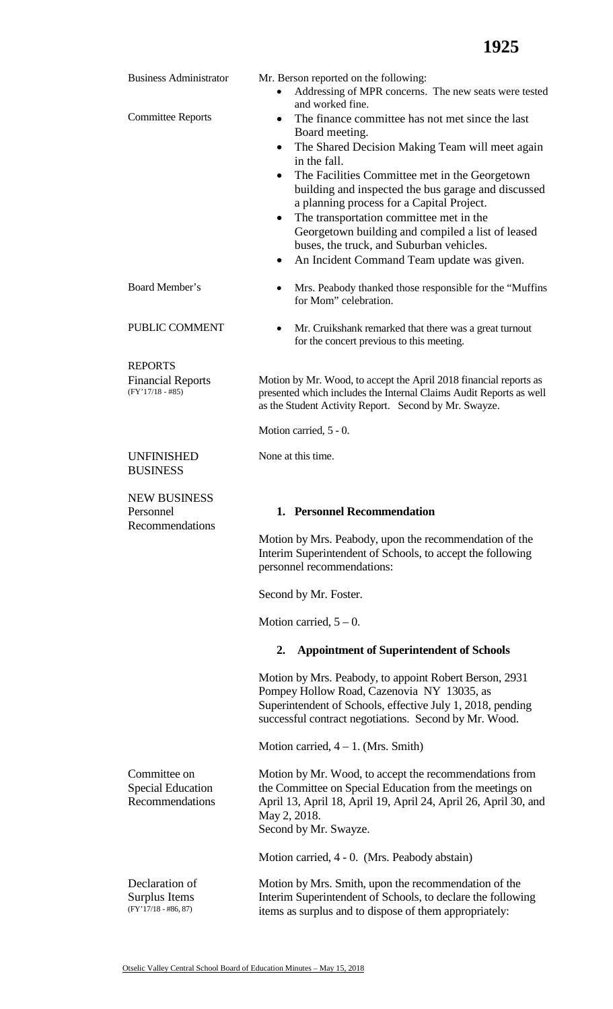| <b>Business Administrator</b>                                    | Mr. Berson reported on the following:<br>Addressing of MPR concerns. The new seats were tested<br>and worked fine.                                                                                                                                                                                                                                                                                                                                                                                              |
|------------------------------------------------------------------|-----------------------------------------------------------------------------------------------------------------------------------------------------------------------------------------------------------------------------------------------------------------------------------------------------------------------------------------------------------------------------------------------------------------------------------------------------------------------------------------------------------------|
| <b>Committee Reports</b>                                         | The finance committee has not met since the last<br>$\bullet$<br>Board meeting.<br>The Shared Decision Making Team will meet again<br>$\bullet$<br>in the fall.<br>The Facilities Committee met in the Georgetown<br>building and inspected the bus garage and discussed<br>a planning process for a Capital Project.<br>The transportation committee met in the<br>Georgetown building and compiled a list of leased<br>buses, the truck, and Suburban vehicles.<br>An Incident Command Team update was given. |
| Board Member's                                                   | Mrs. Peabody thanked those responsible for the "Muffins<br>for Mom" celebration.                                                                                                                                                                                                                                                                                                                                                                                                                                |
| PUBLIC COMMENT                                                   | Mr. Cruikshank remarked that there was a great turnout<br>$\bullet$<br>for the concert previous to this meeting.                                                                                                                                                                                                                                                                                                                                                                                                |
| <b>REPORTS</b><br><b>Financial Reports</b><br>$(FY'17/18 - #85)$ | Motion by Mr. Wood, to accept the April 2018 financial reports as<br>presented which includes the Internal Claims Audit Reports as well<br>as the Student Activity Report. Second by Mr. Swayze.<br>Motion carried, 5 - 0.                                                                                                                                                                                                                                                                                      |
| <b>UNFINISHED</b><br><b>BUSINESS</b>                             | None at this time.                                                                                                                                                                                                                                                                                                                                                                                                                                                                                              |
|                                                                  |                                                                                                                                                                                                                                                                                                                                                                                                                                                                                                                 |
| <b>NEW BUSINESS</b><br>Personnel<br>Recommendations              | 1. Personnel Recommendation                                                                                                                                                                                                                                                                                                                                                                                                                                                                                     |
|                                                                  | Motion by Mrs. Peabody, upon the recommendation of the<br>Interim Superintendent of Schools, to accept the following<br>personnel recommendations:                                                                                                                                                                                                                                                                                                                                                              |
|                                                                  | Second by Mr. Foster.                                                                                                                                                                                                                                                                                                                                                                                                                                                                                           |
|                                                                  | Motion carried, $5 - 0$ .                                                                                                                                                                                                                                                                                                                                                                                                                                                                                       |
|                                                                  | <b>Appointment of Superintendent of Schools</b><br>2.                                                                                                                                                                                                                                                                                                                                                                                                                                                           |
|                                                                  | Motion by Mrs. Peabody, to appoint Robert Berson, 2931<br>Pompey Hollow Road, Cazenovia NY 13035, as<br>Superintendent of Schools, effective July 1, 2018, pending<br>successful contract negotiations. Second by Mr. Wood.                                                                                                                                                                                                                                                                                     |
|                                                                  | Motion carried, $4 - 1$ . (Mrs. Smith)                                                                                                                                                                                                                                                                                                                                                                                                                                                                          |
| Committee on<br><b>Special Education</b><br>Recommendations      | Motion by Mr. Wood, to accept the recommendations from<br>the Committee on Special Education from the meetings on<br>April 13, April 18, April 19, April 24, April 26, April 30, and<br>May 2, 2018.<br>Second by Mr. Swayze.                                                                                                                                                                                                                                                                                   |
|                                                                  | Motion carried, 4 - 0. (Mrs. Peabody abstain)                                                                                                                                                                                                                                                                                                                                                                                                                                                                   |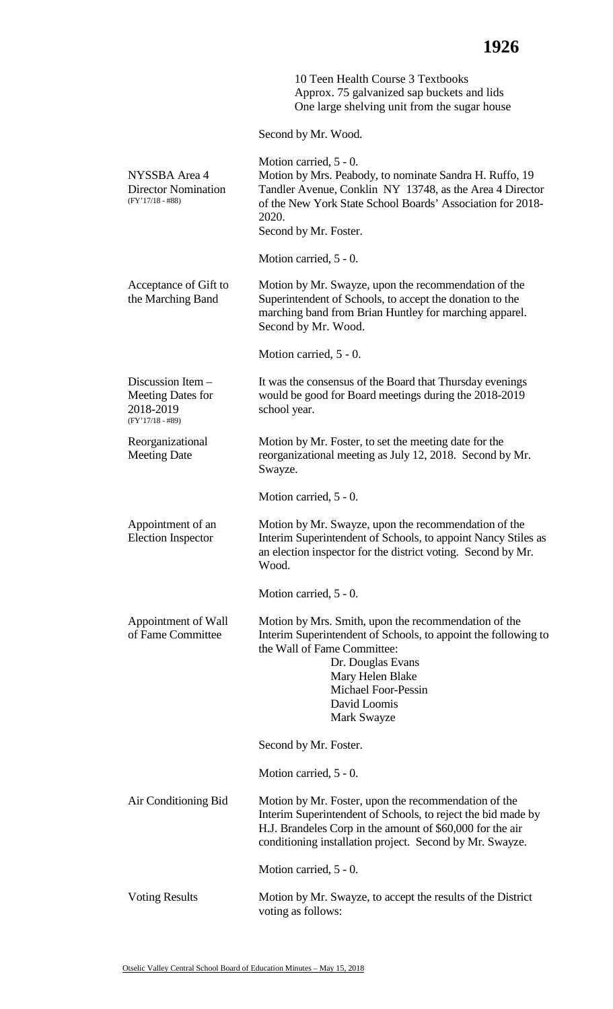10 Teen Health Course 3 Textbooks Approx. 75 galvanized sap buckets and lids One large shelving unit from the sugar house

Second by Mr. Wood.

| NYSSBA Area 4<br><b>Director Nomination</b><br>$(FY'17/18 - #88)$                  | Motion carried, 5 - 0.<br>Motion by Mrs. Peabody, to nominate Sandra H. Ruffo, 19<br>Tandler Avenue, Conklin NY 13748, as the Area 4 Director<br>of the New York State School Boards' Association for 2018-<br>2020.<br>Second by Mr. Foster.               |
|------------------------------------------------------------------------------------|-------------------------------------------------------------------------------------------------------------------------------------------------------------------------------------------------------------------------------------------------------------|
|                                                                                    | Motion carried, 5 - 0.                                                                                                                                                                                                                                      |
| Acceptance of Gift to<br>the Marching Band                                         | Motion by Mr. Swayze, upon the recommendation of the<br>Superintendent of Schools, to accept the donation to the<br>marching band from Brian Huntley for marching apparel.<br>Second by Mr. Wood.                                                           |
|                                                                                    | Motion carried, 5 - 0.                                                                                                                                                                                                                                      |
| Discussion Item $-$<br><b>Meeting Dates for</b><br>2018-2019<br>$(FY'17/18 - #89)$ | It was the consensus of the Board that Thursday evenings<br>would be good for Board meetings during the 2018-2019<br>school year.                                                                                                                           |
| Reorganizational<br><b>Meeting Date</b>                                            | Motion by Mr. Foster, to set the meeting date for the<br>reorganizational meeting as July 12, 2018. Second by Mr.<br>Swayze.                                                                                                                                |
|                                                                                    | Motion carried, 5 - 0.                                                                                                                                                                                                                                      |
| Appointment of an<br><b>Election Inspector</b>                                     | Motion by Mr. Swayze, upon the recommendation of the<br>Interim Superintendent of Schools, to appoint Nancy Stiles as<br>an election inspector for the district voting. Second by Mr.<br>Wood.                                                              |
|                                                                                    | Motion carried, 5 - 0.                                                                                                                                                                                                                                      |
| Appointment of Wall<br>of Fame Committee                                           | Motion by Mrs. Smith, upon the recommendation of the<br>Interim Superintendent of Schools, to appoint the following to<br>the Wall of Fame Committee:<br>Dr. Douglas Evans<br>Mary Helen Blake<br><b>Michael Foor-Pessin</b><br>David Loomis<br>Mark Swayze |
|                                                                                    | Second by Mr. Foster.                                                                                                                                                                                                                                       |
|                                                                                    | Motion carried, $5 - 0$ .                                                                                                                                                                                                                                   |
| Air Conditioning Bid                                                               | Motion by Mr. Foster, upon the recommendation of the<br>Interim Superintendent of Schools, to reject the bid made by<br>H.J. Brandeles Corp in the amount of \$60,000 for the air<br>conditioning installation project. Second by Mr. Swayze.               |
|                                                                                    | Motion carried, 5 - 0.                                                                                                                                                                                                                                      |
| <b>Voting Results</b>                                                              | Motion by Mr. Swayze, to accept the results of the District<br>voting as follows:                                                                                                                                                                           |